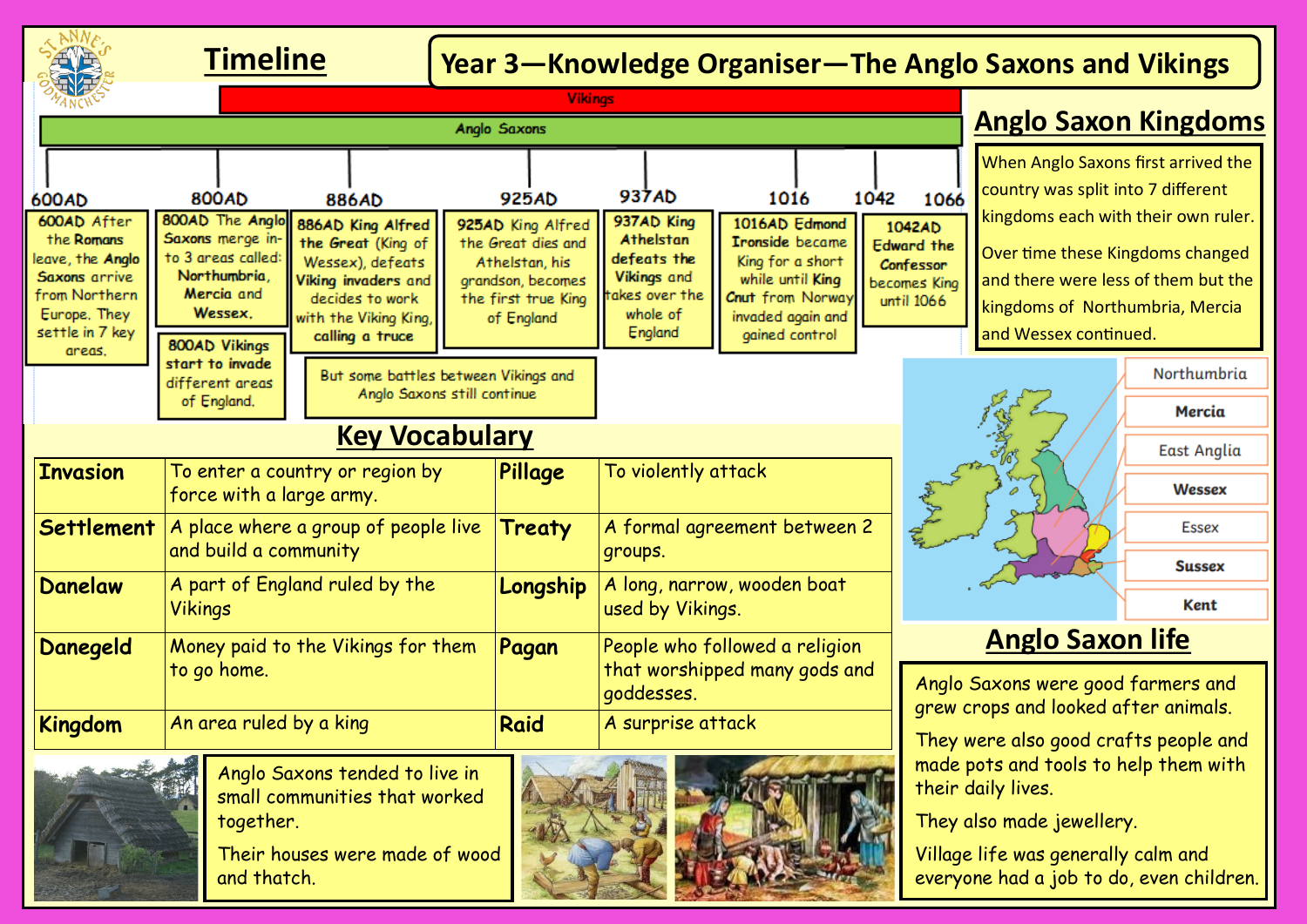# **Timeline Year 3—Knowledge Organiser—The Anglo Saxons and Vikings**

|                                                                                                                               | <b>Vikings</b>                                                                                   |                                                                                                                                                   |                                                                                                                     |                                         |                                                                                  |                                                                                                                           |                                                                        |                                                                                                                                                                                                                                                         |              |
|-------------------------------------------------------------------------------------------------------------------------------|--------------------------------------------------------------------------------------------------|---------------------------------------------------------------------------------------------------------------------------------------------------|---------------------------------------------------------------------------------------------------------------------|-----------------------------------------|----------------------------------------------------------------------------------|---------------------------------------------------------------------------------------------------------------------------|------------------------------------------------------------------------|---------------------------------------------------------------------------------------------------------------------------------------------------------------------------------------------------------------------------------------------------------|--------------|
| Anglo Saxons                                                                                                                  |                                                                                                  |                                                                                                                                                   |                                                                                                                     |                                         |                                                                                  |                                                                                                                           |                                                                        | <b>Anglo Saxon Kingdoms</b>                                                                                                                                                                                                                             |              |
| 600AD<br>600AD After                                                                                                          | 800AD<br>886AD<br>800AD The Anglo                                                                |                                                                                                                                                   | 925AD                                                                                                               |                                         | 937AD<br>937AD King                                                              | 1016<br>1016AD Edmond                                                                                                     | 1042<br>1066                                                           | When Anglo Saxons first arrived the<br>country was split into 7 different<br>kingdoms each with their own ruler.<br>Over time these Kingdoms changed<br>and there were less of them but the<br>kingdoms of Northumbria, Mercia<br>and Wessex continued. |              |
| the Romans<br>leave, the Anglo<br>Saxons arrive<br>from Northern<br>Europe, They<br>settle in 7 key<br>areas.                 | Saxons merge in-<br>to 3 areas called:<br>Northumbria,<br>Mercia and<br>Wessex.<br>800AD Vikings | 886AD King Alfred<br>the Great (King of<br>Wessex), defeats<br>Viking invaders and<br>decides to work<br>with the Viking King,<br>calling a truce | 925AD King Alfred<br>the Great dies and<br>Athelstan, his<br>grandson, becomes<br>the first true King<br>of England |                                         | Athelstan<br>defeats the<br>Vikings and<br>takes over the<br>whole of<br>England | <b>Tronside</b> became<br>King for a short<br>while until King<br>Cnut from Norway<br>invaded again and<br>gained control | 1042AD<br><b>Edward the</b><br>Confessor<br>becomes King<br>until 1066 |                                                                                                                                                                                                                                                         |              |
|                                                                                                                               | start to invade<br>different areas                                                               | But some battles between Vikings and<br>Anglo Saxons still continue                                                                               |                                                                                                                     |                                         |                                                                                  |                                                                                                                           |                                                                        |                                                                                                                                                                                                                                                         | Northumbria  |
|                                                                                                                               | of England,                                                                                      |                                                                                                                                                   |                                                                                                                     |                                         |                                                                                  |                                                                                                                           |                                                                        |                                                                                                                                                                                                                                                         | Mercia       |
| <b>Key Vocabulary</b>                                                                                                         |                                                                                                  |                                                                                                                                                   |                                                                                                                     |                                         |                                                                                  |                                                                                                                           | <b>East Anglia</b>                                                     |                                                                                                                                                                                                                                                         |              |
| <b>Invasion</b>                                                                                                               | To enter a country or region by<br>force with a large army.                                      |                                                                                                                                                   |                                                                                                                     | Pillage                                 | To violently attack                                                              |                                                                                                                           | R Jakobs                                                               | Wessex                                                                                                                                                                                                                                                  |              |
| <b>Settlement</b>                                                                                                             | A place where a group of people live<br>and build a community                                    |                                                                                                                                                   |                                                                                                                     | Treaty                                  | A formal agreement between 2<br>groups.                                          |                                                                                                                           |                                                                        |                                                                                                                                                                                                                                                         | <b>Essex</b> |
| <b>Danelaw</b>                                                                                                                | A part of England ruled by the<br><b>Vikings</b>                                                 |                                                                                                                                                   |                                                                                                                     | A long, narrow, wooden boat<br>Longship |                                                                                  |                                                                                                                           |                                                                        | <b>Sussex</b>                                                                                                                                                                                                                                           |              |
|                                                                                                                               |                                                                                                  |                                                                                                                                                   |                                                                                                                     |                                         | used by Vikings.                                                                 |                                                                                                                           |                                                                        |                                                                                                                                                                                                                                                         | <b>Kent</b>  |
| Money paid to the Vikings for them<br>Danegeld                                                                                |                                                                                                  |                                                                                                                                                   | Pagan                                                                                                               |                                         | People who followed a religion<br>that worshipped many gods and<br>goddesses.    |                                                                                                                           |                                                                        | <b>Anglo Saxon life</b>                                                                                                                                                                                                                                 |              |
|                                                                                                                               | to go home.                                                                                      |                                                                                                                                                   |                                                                                                                     |                                         |                                                                                  |                                                                                                                           |                                                                        | Anglo Saxons were good farmers and<br>grew crops and looked after animals.                                                                                                                                                                              |              |
| <b>Kingdom</b>                                                                                                                | An area ruled by a king                                                                          |                                                                                                                                                   |                                                                                                                     | <b>Raid</b>                             | A surprise attack                                                                |                                                                                                                           |                                                                        | They were also good crafts people and<br>made pots and tools to help them with<br>their daily lives.<br>They also made jewellery.<br>Village life was generally calm and<br>everyone had a job to do, even children.                                    |              |
| Anglo Saxons tended to live in<br>small communities that worked<br>together.<br>Their houses were made of wood<br>and thatch. |                                                                                                  |                                                                                                                                                   |                                                                                                                     | <b><i>CONFIDENCE</i></b>                |                                                                                  |                                                                                                                           |                                                                        |                                                                                                                                                                                                                                                         |              |